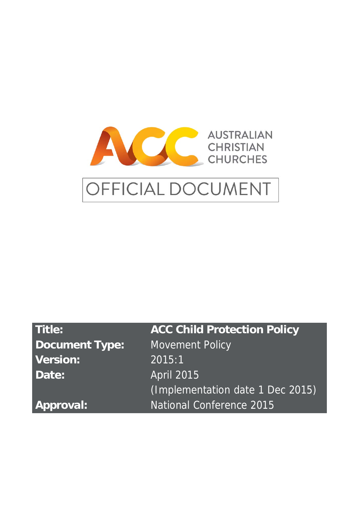

# OFFICIAL DOCUMENT

| Title:                | <b>ACC Child Protection Policy</b> |
|-----------------------|------------------------------------|
| <b>Document Type:</b> | <b>Movement Policy</b>             |
| <b>Version:</b>       | 2015:1                             |
| Date:                 | <b>April 2015</b>                  |
|                       | (Implementation date 1 Dec 2015)   |
| <b>Approval:</b>      | National Conference 2015           |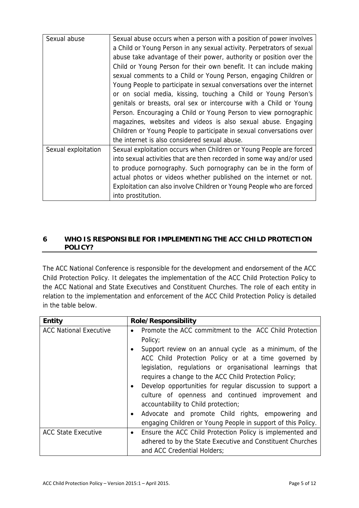| Sexual abuse        | Sexual abuse occurs when a person with a position of power involves    |  |  |
|---------------------|------------------------------------------------------------------------|--|--|
|                     | a Child or Young Person in any sexual activity. Perpetrators of sexual |  |  |
|                     | abuse take advantage of their power, authority or position over the    |  |  |
|                     | Child or Young Person for their own benefit. It can include making     |  |  |
|                     | sexual comments to a Child or Young Person, engaging Children or       |  |  |
|                     | Young People to participate in sexual conversations over the internet  |  |  |
|                     | or on social media, kissing, touching a Child vr Young Person's        |  |  |
|                     | genitals or breasts, oral sex or intercourse '<br>Child or Young       |  |  |
|                     | Person. Encouraging a Child or Young Per<br>ornographic                |  |  |
|                     | magazines, websites and videos is a'<br><sup>c</sup> ngaging           |  |  |
|                     | Children or Young People to particip<br><sub>ົ</sub> over              |  |  |
|                     | the internet is also considered set                                    |  |  |
| Sexual exploitation | Sexual exploitation occurs when                                        |  |  |
|                     | into sexual activities that ar                                         |  |  |
|                     | to produce pornograph                                                  |  |  |
|                     | actual photos or vid                                                   |  |  |
|                     | Exploitation can ?'                                                    |  |  |
|                     | into prostitutic                                                       |  |  |

#### **6 WHO IS RESPONSIBLE FOR IMPLEMENTION POLICY?**

in the table below.

The ACC National Conference is responsible for the development and endorsement and endorsement and endorsement of the ACC Child Protection Policy. It delegates the implementation of the implementation of the ACC Child Protection Policy to the ACC National and State Executives and State Executives and Constituent Churches. The role of each entity in relation to the implementation and enforcementation and enforcement of the ACC Child Protection Policy is detailed

ACC National Executive Promote the ACC commitment to the ACC Child Protection

|                            | $\sim$ communicing to the $\sim$ communication.                        |
|----------------------------|------------------------------------------------------------------------|
|                            | eview on an annual cycle as a minimum, of the                          |
|                            | Unild Protection Policy or at a time governed by                       |
|                            | aslation, regulations or organisational learnings that                 |
|                            | requires a change to the ACC Child Protection Policy;                  |
|                            | Develop opportunities for regular discussion to support a<br>$\bullet$ |
|                            | culture of openness and continued improvement and                      |
|                            | accountability to Child protection;                                    |
|                            | Advocate and promote Child rights, empowering and<br>$\bullet$         |
|                            | engaging Children or Young People in support of this Policy.           |
| <b>ACC State Executive</b> | Ensure the ACC Child Protection Policy is implemented and<br>$\bullet$ |
|                            | adhered to by the State Executive and Constituent Churches             |
|                            | and ACC Credential Holders;                                            |

**Entity Role/Responsibility**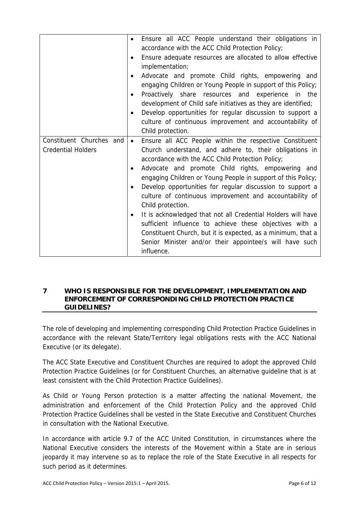|                           | $\bullet$ | Ensure all ACC People understand their obligations in         |
|---------------------------|-----------|---------------------------------------------------------------|
|                           |           | accordance with the ACC Child Protection Policy;              |
|                           | $\bullet$ | Ensure adequate resources are allocated to allow effective    |
|                           |           | implementation;                                               |
|                           | $\bullet$ | Advocate and promote Child rights, empowering and             |
|                           |           | engaging Children or Young People in support of this Policy;  |
|                           | $\bullet$ | Proactively share resources and experience in the             |
|                           |           | development of Child safe initiatives as they are identified; |
|                           | $\bullet$ | Develop opportunities for regular discussion to support a     |
|                           |           | culture of continuous improvement and accountability of       |
|                           |           | Child protection.                                             |
| Constituent Churches and  | $\bullet$ | Ensure all ACC People within the respective Constituent       |
| <b>Credential Holders</b> |           | Church understand, and adhere to, their obligations in        |
|                           |           | accordance with the ACC Child Protection Policy;              |
|                           | $\bullet$ | Advocate and promote Child rights, empowering and             |
|                           |           | engaging Children or Young People in support of this Policy;  |
|                           | $\bullet$ | Develop opportunities for regular discussion to support a     |
|                           |           | culture of continuous improvement and accountability of       |
|                           |           | Child protection.                                             |
|                           | $\bullet$ | It is acknowledged that not all Credential Holders will have  |
|                           |           | sufficient influence to achieve these objectives with a       |
|                           |           | Constituent Church, but it is expected, as a minimum, that a  |
|                           |           | Senior Minister and/or their appointee/s will have such       |
|                           |           | influence.                                                    |

#### **7 WHO IS RESPONSIBLE FOR THE DEVELOPMENT, IMPLEMENTATION AND ENFORCEMENT OF CORRESPONDING CHILD PROTECTION PRACTICE GUIDELINES?**

The role of developing and implementing corresponding Child Protection Practice Guidelines in accordance with the relevant State/Territory legal obligations rests with the ACC National Executive (or its delegate).

The ACC State Executive and Constituent Churches are required to adopt the approved Child Protection Practice Guidelines (or for Constituent Churches, an alternative guideline that is at least consistent with the Child Protection Practice Guidelines).

As Child or Young Person protection is a matter affecting the national Movement, the administration and enforcement of the Child Protection Policy and the approved Child Protection Practice Guidelines shall be vested in the State Executive and Constituent Churches in consultation with the National Executive.

In accordance with article 9.7 of the ACC United Constitution, in circumstances where the National Executive considers the interests of the Movement within a State are in serious jeopardy it may intervene so as to replace the role of the State Executive in all respects for such period as it determines.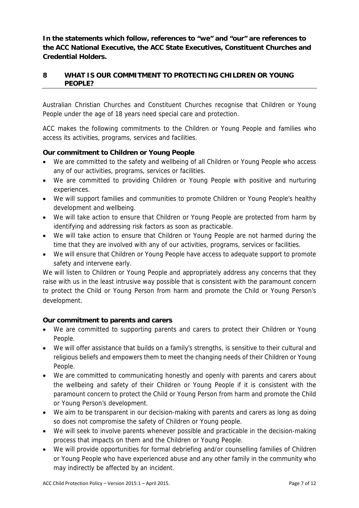**In the statements which follow, references to "we" and "our" are references to the ACC National Executive, the ACC State Executives, Constituent Churches and Credential Holders.** 

### **8 WHAT IS OUR COMMITMENT TO PROTECTING CHILDREN OR YOUNG PEOPLE?**

Australian Christian Churches and Constituent Churches recognise that Children or Young People under the age of 18 years need special care and protection.

ACC makes the following commitments to the Children or Young People and families who access its activities, programs, services and facilities.

### **Our commitment to Children or Young People**

- We are committed to the safety and wellbeing of all Children or Young People who access any of our activities, programs, services or facilities.
- We are committed to providing Children or Young People with positive and nurturing experiences.
- We will support families and communities to promote Children or Young People's healthy development and wellbeing.
- We will take action to ensure that Children or Young People are protected from harm by identifying and addressing risk factors as soon as practicable.
- We will take action to ensure that Children or Young People are not harmed during the time that they are involved with any of our activities, programs, services or facilities.
- We will ensure that Children or Young People have access to adequate support to promote safety and intervene early.

We will listen to Children or Young People and appropriately address any concerns that they raise with us in the least intrusive way possible that is consistent with the paramount concern to protect the Child or Young Person from harm and promote the Child or Young Person's development.

#### **Our commitment to parents and carers**

- We are committed to supporting parents and carers to protect their Children or Young People.
- We will offer assistance that builds on a family's strengths, is sensitive to their cultural and religious beliefs and empowers them to meet the changing needs of their Children or Young People.
- We are committed to communicating honestly and openly with parents and carers about the wellbeing and safety of their Children or Young People if it is consistent with the paramount concern to protect the Child or Young Person from harm and promote the Child or Young Person's development.
- We aim to be transparent in our decision-making with parents and carers as long as doing so does not compromise the safety of Children or Young people.
- We will seek to involve parents whenever possible and practicable in the decision-making process that impacts on them and the Children or Young People.
- We will provide opportunities for formal debriefing and/or counselling families of Children or Young People who have experienced abuse and any other family in the community who may indirectly be affected by an incident.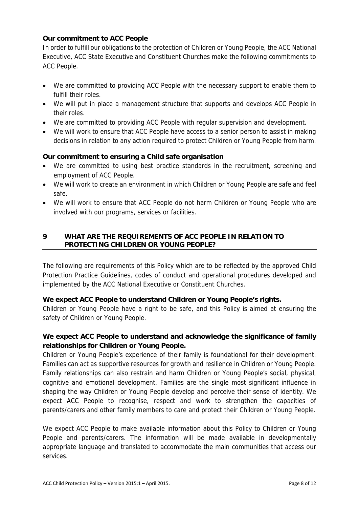#### **Our commitment to ACC People**

In order to fulfill our obligations to the protection of Children or Young People, the ACC National Executive, ACC State Executive and Constituent Churches make the following commitments to ACC People.

- We are committed to providing ACC People with the necessary support to enable them to fulfill their roles.
- We will put in place a management structure that supports and develops ACC People in their roles.
- We are committed to providing ACC People with regular supervision and development.
- We will work to ensure that ACC People have access to a senior person to assist in making decisions in relation to any action required to protect Children or Young People from harm.

#### **Our commitment to ensuring a Child safe organisation**

- We are committed to using best practice standards in the recruitment, screening and employment of ACC People.
- We will work to create an environment in which Children or Young People are safe and feel safe.
- We will work to ensure that ACC People do not harm Children or Young People who are involved with our programs, services or facilities.

## **9 WHAT ARE THE REQUIREMENTS OF ACC PEOPLE IN RELATION TO PROTECTING CHILDREN OR YOUNG PEOPLE?**

The following are requirements of this Policy which are to be reflected by the approved Child Protection Practice Guidelines, codes of conduct and operational procedures developed and implemented by the ACC National Executive or Constituent Churches.

#### **We expect ACC People to understand Children or Young People's rights.**

Children or Young People have a right to be safe, and this Policy is aimed at ensuring the safety of Children or Young People.

# **We expect ACC People to understand and acknowledge the significance of family relationships for Children or Young People.**

Children or Young People's experience of their family is foundational for their development. Families can act as supportive resources for growth and resilience in Children or Young People. Family relationships can also restrain and harm Children or Young People's social, physical, cognitive and emotional development. Families are the single most significant influence in shaping the way Children or Young People develop and perceive their sense of identity. We expect ACC People to recognise, respect and work to strengthen the capacities of parents/carers and other family members to care and protect their Children or Young People.

We expect ACC People to make available information about this Policy to Children or Young People and parents/carers. The information will be made available in developmentally appropriate language and translated to accommodate the main communities that access our services.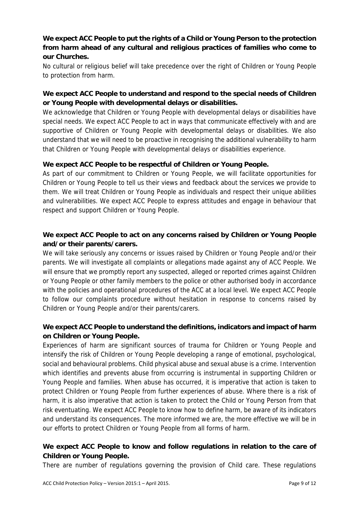# **We expect ACC People to put the rights of a Child or Young Person to the protection from harm ahead of any cultural and religious practices of families who come to our Churches.**

No cultural or religious belief will take precedence over the right of Children or Young People to protection from harm.

# **We expect ACC People to understand and respond to the special needs of Children or Young People with developmental delays or disabilities.**

We acknowledge that Children or Young People with developmental delays or disabilities have special needs. We expect ACC People to act in ways that communicate effectively with and are supportive of Children or Young People with developmental delays or disabilities. We also understand that we will need to be proactive in recognising the additional vulnerability to harm that Children or Young People with developmental delays or disabilities experience.

#### **We expect ACC People to be respectful of Children or Young People.**

As part of our commitment to Children or Young People, we will facilitate opportunities for Children or Young People to tell us their views and feedback about the services we provide to them. We will treat Children or Young People as individuals and respect their unique abilities and vulnerabilities. We expect ACC People to express attitudes and engage in behaviour that respect and support Children or Young People.

# **We expect ACC People to act on any concerns raised by Children or Young People and/or their parents/carers.**

We will take seriously any concerns or issues raised by Children or Young People and/or their parents. We will investigate all complaints or allegations made against any of ACC People. We will ensure that we promptly report any suspected, alleged or reported crimes against Children or Young People or other family members to the police or other authorised body in accordance with the policies and operational procedures of the ACC at a local level. We expect ACC People to follow our complaints procedure without hesitation in response to concerns raised by Children or Young People and/or their parents/carers.

### **We expect ACC People to understand the definitions, indicators and impact of harm on Children or Young People.**

Experiences of harm are significant sources of trauma for Children or Young People and intensify the risk of Children or Young People developing a range of emotional, psychological, social and behavioural problems. Child physical abuse and sexual abuse is a crime. Intervention which identifies and prevents abuse from occurring is instrumental in supporting Children or Young People and families. When abuse has occurred, it is imperative that action is taken to protect Children or Young People from further experiences of abuse. Where there is a risk of harm, it is also imperative that action is taken to protect the Child or Young Person from that risk eventuating. We expect ACC People to know how to define harm, be aware of its indicators and understand its consequences. The more informed we are, the more effective we will be in our efforts to protect Children or Young People from all forms of harm.

### **We expect ACC People to know and follow regulations in relation to the care of Children or Young People.**

There are number of regulations governing the provision of Child care. These regulations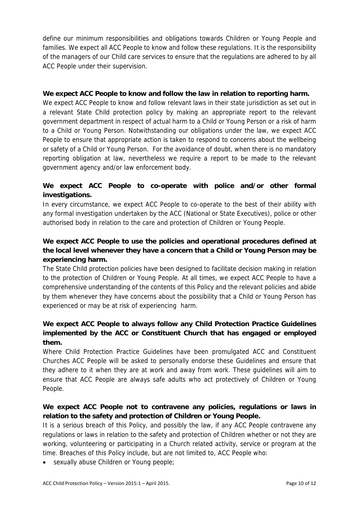define our minimum responsibilities and obligations towards Children or Young People and families. We expect all ACC People to know and follow these regulations. It is the responsibility of the managers of our Child care services to ensure that the regulations are adhered to by all ACC People under their supervision.

#### **We expect ACC People to know and follow the law in relation to reporting harm.**

We expect ACC People to know and follow relevant laws in their state jurisdiction as set out in a relevant State Child protection policy by making an appropriate report to the relevant government department in respect of actual harm to a Child or Young Person or a risk of harm to a Child or Young Person. Notwithstanding our obligations under the law, we expect ACC People to ensure that appropriate action is taken to respond to concerns about the wellbeing or safety of a Child or Young Person. For the avoidance of doubt, when there is no mandatory reporting obligation at law, nevertheless we require a report to be made to the relevant government agency and/or law enforcement body.

# **We expect ACC People to co-operate with police and/or other formal investigations.**

In every circumstance, we expect ACC People to co-operate to the best of their ability with any formal investigation undertaken by the ACC (National or State Executives), police or other authorised body in relation to the care and protection of Children or Young People.

# **We expect ACC People to use the policies and operational procedures defined at the local level whenever they have a concern that a Child or Young Person may be experiencing harm.**

The State Child protection policies have been designed to facilitate decision making in relation to the protection of Children or Young People. At all times, we expect ACC People to have a comprehensive understanding of the contents of this Policy and the relevant policies and abide by them whenever they have concerns about the possibility that a Child or Young Person has experienced or may be at risk of experiencing harm.

# **We expect ACC People to always follow any Child Protection Practice Guidelines implemented by the ACC or Constituent Church that has engaged or employed them.**

Where Child Protection Practice Guidelines have been promulgated ACC and Constituent Churches ACC People will be asked to personally endorse these Guidelines and ensure that they adhere to it when they are at work and away from work. These guidelines will aim to ensure that ACC People are always safe adults who act protectively of Children or Young People.

# **We expect ACC People not to contravene any policies, regulations or laws in relation to the safety and protection of Children or Young People.**

It is a serious breach of this Policy, and possibly the law, if any ACC People contravene any regulations or laws in relation to the safety and protection of Children whether or not they are working, volunteering or participating in a Church related activity, service or program at the time. Breaches of this Policy include, but are not limited to, ACC People who:

sexually abuse Children or Young people;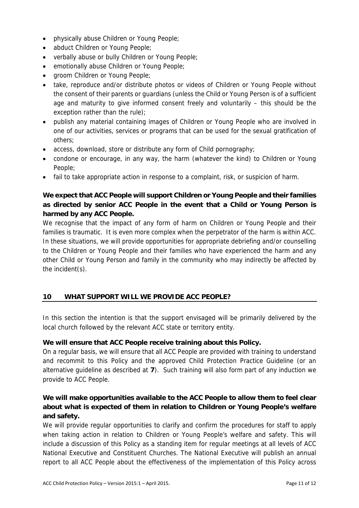- physically abuse Children or Young People;
- abduct Children or Young People;
- verbally abuse or bully Children or Young People;
- emotionally abuse Children or Young People;
- groom Children or Young People;
- take, reproduce and/or distribute photos or videos of Children or Young People without the consent of their parents or guardians (unless the Child or Young Person is of a sufficient age and maturity to give informed consent freely and voluntarily – this should be the exception rather than the rule);
- publish any material containing images of Children or Young People who are involved in one of our activities, services or programs that can be used for the sexual gratification of others;
- access, download, store or distribute any form of Child pornography;
- condone or encourage, in any way, the harm (whatever the kind) to Children or Young People;
- fail to take appropriate action in response to a complaint, risk, or suspicion of harm.

# **We expect that ACC People will support Children or Young People and their families as directed by senior ACC People in the event that a Child or Young Person is harmed by any ACC People.**

We recognise that the impact of any form of harm on Children or Young People and their families is traumatic. It is even more complex when the perpetrator of the harm is within ACC. In these situations, we will provide opportunities for appropriate debriefing and/or counselling to the Children or Young People and their families who have experienced the harm and any other Child or Young Person and family in the community who may indirectly be affected by the incident(s).

### **10 WHAT SUPPORT WILL WE PROVIDE ACC PEOPLE?**

In this section the intention is that the support envisaged will be primarily delivered by the local church followed by the relevant ACC state or territory entity.

#### **We will ensure that ACC People receive training about this Policy.**

On a regular basis, we will ensure that all ACC People are provided with training to understand and recommit to this Policy and the approved Child Protection Practice Guideline (or an alternative guideline as described at **7**). Such training will also form part of any induction we provide to ACC People.

# **We will make opportunities available to the ACC People to allow them to feel clear about what is expected of them in relation to Children or Young People's welfare and safety.**

We will provide regular opportunities to clarify and confirm the procedures for staff to apply when taking action in relation to Children or Young People's welfare and safety. This will include a discussion of this Policy as a standing item for regular meetings at all levels of ACC National Executive and Constituent Churches. The National Executive will publish an annual report to all ACC People about the effectiveness of the implementation of this Policy across